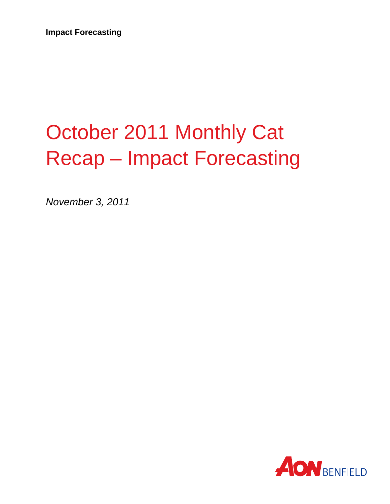# October 2011 Monthly Cat Recap – Impact Forecasting

*November 3, 2011*

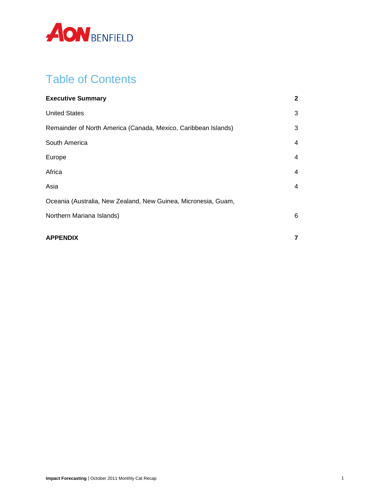

# Table of Contents

| $\mathbf{2}$ |
|--------------|
| 3            |
| 3            |
| 4            |
| 4            |
| 4            |
| 4            |
|              |
| 6            |
| 7            |
|              |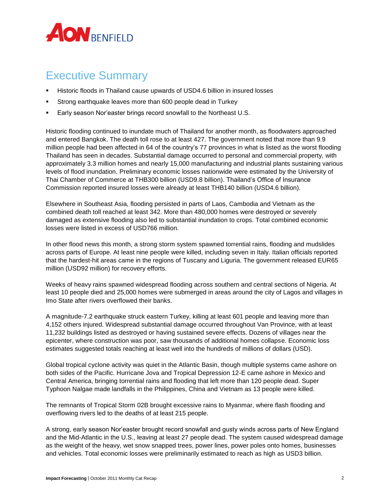

# <span id="page-2-0"></span>Executive Summary

- Historic floods in Thailand cause upwards of USD4.6 billion in insured losses
- Strong earthquake leaves more than 600 people dead in Turkey
- Early season Nor'easter brings record snowfall to the Northeast U.S.

Historic flooding continued to inundate much of Thailand for another month, as floodwaters approached and entered Bangkok. The death toll rose to at least 427. The government noted that more than 9.9 million people had been affected in 64 of the country's 77 provinces in what is listed as the worst flooding Thailand has seen in decades. Substantial damage occurred to personal and commercial property, with approximately 3.3 million homes and nearly 15,000 manufacturing and industrial plants sustaining various levels of flood inundation. Preliminary economic losses nationwide were estimated by the University of Thai Chamber of Commerce at THB300 billion (USD9.8 billion). Thailand's Office of Insurance Commission reported insured losses were already at least THB140 billion (USD4.6 billion).

Elsewhere in Southeast Asia, flooding persisted in parts of Laos, Cambodia and Vietnam as the combined death toll reached at least 342. More than 480,000 homes were destroyed or severely damaged as extensive flooding also led to substantial inundation to crops. Total combined economic losses were listed in excess of USD766 million.

In other flood news this month, a strong storm system spawned torrential rains, flooding and mudslides across parts of Europe. At least nine people were killed, including seven in Italy. Italian officials reported that the hardest-hit areas came in the regions of Tuscany and Liguria. The government released EUR65 million (USD92 million) for recovery efforts.

Weeks of heavy rains spawned widespread flooding across southern and central sections of Nigeria. At least 10 people died and 25,000 homes were submerged in areas around the city of Lagos and villages in Imo State after rivers overflowed their banks.

A magnitude-7.2 earthquake struck eastern Turkey, killing at least 601 people and leaving more than 4,152 others injured. Widespread substantial damage occurred throughout Van Province, with at least 11,232 buildings listed as destroyed or having sustained severe effects. Dozens of villages near the epicenter, where construction was poor, saw thousands of additional homes collapse. Economic loss estimates suggested totals reaching at least well into the hundreds of millions of dollars (USD).

Global tropical cyclone activity was quiet in the Atlantic Basin, though multiple systems came ashore on both sides of the Pacific. Hurricane Jova and Tropical Depression 12-E came ashore in Mexico and Central America, bringing torrential rains and flooding that left more than 120 people dead. Super Typhoon Nalgae made landfalls in the Philippines, China and Vietnam as 13 people were killed.

The remnants of Tropical Storm 02B brought excessive rains to Myanmar, where flash flooding and overflowing rivers led to the deaths of at least 215 people.

A strong, early season Nor'easter brought record snowfall and gusty winds across parts of New England and the Mid-Atlantic in the U.S., leaving at least 27 people dead. The system caused widespread damage as the weight of the heavy, wet snow snapped trees, power lines, power poles onto homes, businesses and vehicles. Total economic losses were preliminarily estimated to reach as high as USD3 billion.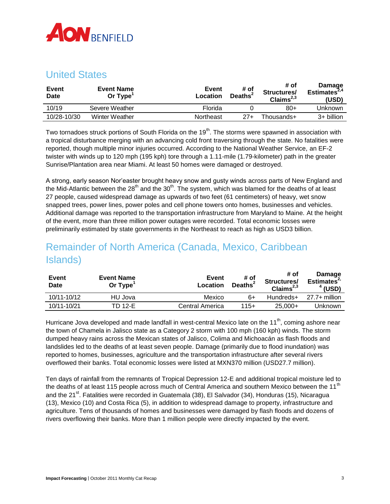

## <span id="page-3-0"></span>United States

| Event<br>Date | <b>Event Name</b><br>Or Type <sup>1</sup> | Event<br>Location | # of<br>Deaths <sup>2</sup> | # of<br>Structures/<br>Claims $^{2,3}$ | <b>Damage</b><br>Estimates $44^4$<br>(USD) |
|---------------|-------------------------------------------|-------------------|-----------------------------|----------------------------------------|--------------------------------------------|
| 10/19         | Severe Weather                            | Florida           |                             | $80+$                                  | Jnknown                                    |
| 10/28-10/30   | <b>Winter Weather</b>                     | Northeast         | $27+$                       | Thousands+                             | 3+ billion                                 |

Two tornadoes struck portions of South Florida on the 19<sup>th</sup>. The storms were spawned in association with a tropical disturbance merging with an advancing cold front traversing through the state. No fatalities were reported, though multiple minor injuries occurred. According to the National Weather Service, an EF-2 twister with winds up to 120 mph (195 kph) tore through a 1.11-mile (1.79-kilometer) path in the greater Sunrise/Plantation area near Miami. At least 50 homes were damaged or destroyed.

A strong, early season Nor'easter brought heavy snow and gusty winds across parts of New England and the Mid-Atlantic between the 28<sup>th</sup> and the 30<sup>th</sup>. The system, which was blamed for the deaths of at least 27 people, caused widespread damage as upwards of two feet (61 centimeters) of heavy, wet snow snapped trees, power lines, power poles and cell phone towers onto homes, businesses and vehicles. Additional damage was reported to the transportation infrastructure from Maryland to Maine. At the height of the event, more than three million power outages were recorded. Total economic losses were preliminarily estimated by state governments in the Northeast to reach as high as USD3 billion.

# <span id="page-3-1"></span>Remainder of North America (Canada, Mexico, Caribbean Islands)

| Event<br><b>Date</b> | <b>Event Name</b><br>Or $Type1$ | Event<br>Location | # of<br>Deaths <sup>2</sup> | # of<br>Structures/<br>Claims $^{2,3}$ | Damage<br>Estimates <sup>2</sup><br>(USD) |
|----------------------|---------------------------------|-------------------|-----------------------------|----------------------------------------|-------------------------------------------|
| 10/11-10/12          | HU Jova                         | Mexico            | 6+                          | Hundreds+                              | $27.7+$ million                           |
| 10/11-10/21          | TD 12-E                         | Central America   | $115+$                      | $25,000+$                              | Jnknown                                   |

Hurricane Jova developed and made landfall in west-central Mexico late on the 11<sup>th</sup>, coming ashore near the town of Chamela in Jalisco state as a Category 2 storm with 100 mph (160 kph) winds. The storm dumped heavy rains across the Mexican states of Jalisco, Colima and Michoacán as flash floods and landslides led to the deaths of at least seven people. Damage (primarily due to flood inundation) was reported to homes, businesses, agriculture and the transportation infrastructure after several rivers overflowed their banks. Total economic losses were listed at MXN370 million (USD27.7 million).

Ten days of rainfall from the remnants of Tropical Depression 12-E and additional tropical moisture led to the deaths of at least 115 people across much of Central America and southern Mexico between the 11<sup>th</sup> and the 21<sup>st</sup>. Fatalities were recorded in Guatemala (38), El Salvador (34), Honduras (15), Nicaragua (13), Mexico (10) and Costa Rica (5), in addition to widespread damage to property, infrastructure and agriculture. Tens of thousands of homes and businesses were damaged by flash floods and dozens of rivers overflowing their banks. More than 1 million people were directly impacted by the event.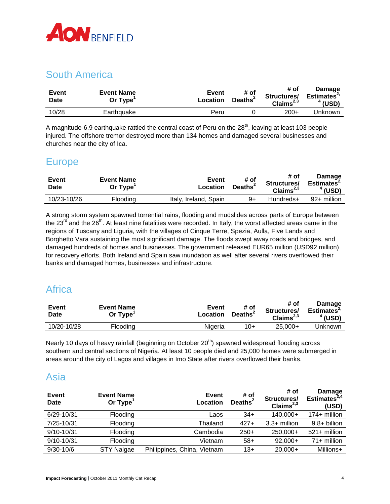

## <span id="page-4-0"></span>South America

| Event<br>Date | <b>Event Name</b><br>Or Type <sup>1</sup> | <b>Event</b><br>Location | # of<br>Deaths <sup>2</sup> | # of<br>Structures/<br>Claims $^{2,3}$ | Damage<br>Estimates $2$<br>$^4$ (USD) |
|---------------|-------------------------------------------|--------------------------|-----------------------------|----------------------------------------|---------------------------------------|
| 10/28         | Earthquake                                | Peru                     |                             | $200+$                                 | Jnknown                               |

<span id="page-4-1"></span>A magnitude-6.9 earthquake rattled the central coast of Peru on the  $28<sup>th</sup>$ , leaving at least 103 people injured. The offshore tremor destroyed more than 134 homes and damaged several businesses and churches near the city of Ica.

#### **Europe**

| Event<br><b>Date</b> | <b>Event Name</b><br>Or Type | Event<br>Location     | # of<br>Deaths <sup>2</sup> | # of<br>Structures/<br>Claims $^{2,3}$ | Damage<br>Estimates <sup>2</sup><br>$4$ (USD) |
|----------------------|------------------------------|-----------------------|-----------------------------|----------------------------------------|-----------------------------------------------|
| 10/23-10/26          | Flooding                     | Italy, Ireland, Spain | 9+                          | Hundreds+                              | 92+ million                                   |

A strong storm system spawned torrential rains, flooding and mudslides across parts of Europe between the  $23^{\text{rd}}$  and the  $26^{\text{th}}$ . At least nine fatalities were recorded. In Italy, the worst affected areas came in the regions of Tuscany and Liguria, with the villages of Cinque Terre, Spezia, Aulla, Five Lands and Borghetto Vara sustaining the most significant damage. The floods swept away roads and bridges, and damaged hundreds of homes and businesses. The government released EUR65 million (USD92 million) for recovery efforts. Both Ireland and Spain saw inundation as well after several rivers overflowed their banks and damaged homes, businesses and infrastructure.

# <span id="page-4-2"></span>**Africa**

| Event<br>Date | <b>Event Name</b><br>Or Type | Event<br>Location | # of<br><b>Deaths</b> | # of<br>Structures/<br>Claims $^{2,3}$ | Damage<br>Estimates <sup>2</sup><br>$4$ (USD) |
|---------------|------------------------------|-------------------|-----------------------|----------------------------------------|-----------------------------------------------|
| 10/20-10/28   | Flooding                     | Nigeria           | 10+                   | $25,000+$                              | Jnknown                                       |

Nearly 10 days of heavy rainfall (beginning on October  $20<sup>th</sup>$ ) spawned widespread flooding across southern and central sections of Nigeria. At least 10 people died and 25,000 homes were submerged in areas around the city of Lagos and villages in Imo State after rivers overflowed their banks.

## <span id="page-4-3"></span>Asia

| Event<br><b>Date</b> | <b>Event Name</b><br>Or $Type1$ | <b>Event</b><br>Location    | # of<br>Deaths <sup>2</sup> | # of<br>Structures/<br>Claims $^{2,3}$ | Damage<br>Estimates $^{2,4}$<br>(USD) |
|----------------------|---------------------------------|-----------------------------|-----------------------------|----------------------------------------|---------------------------------------|
| $6/29 - 10/31$       | Flooding                        | Laos                        | $34+$                       | 140,000+                               | $174+$ million                        |
| 7/25-10/31           | Flooding                        | Thailand                    | $427+$                      | $3.3+$ million                         | $9.8 + billion$                       |
| $9/10 - 10/31$       | Flooding                        | Cambodia                    | $250+$                      | 250,000+                               | $521 +$ million                       |
| $9/10 - 10/31$       | Flooding                        | Vietnam                     | $58+$                       | $92,000+$                              | 71+ million                           |
| $9/30 - 10/6$        | <b>STY Nalgae</b>               | Philippines, China, Vietnam | $13+$                       | $20,000+$                              | Millions+                             |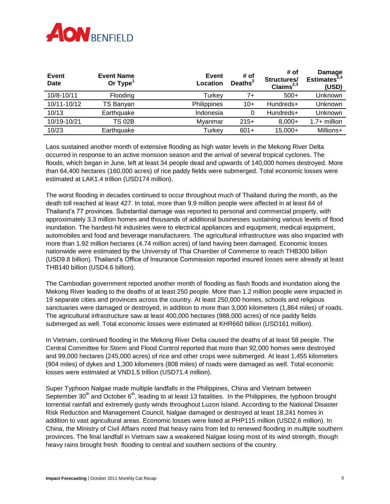

| Event<br><b>Date</b> | <b>Event Name</b><br>Or $Type1$ | <b>Event</b><br>Location | # of<br>Deaths <sup>2</sup> | # of<br>Structures/<br>Claims $^{2,3}$ | <b>Damage</b><br>Estimates $2,4$<br>(USD) |
|----------------------|---------------------------------|--------------------------|-----------------------------|----------------------------------------|-------------------------------------------|
| 10/8-10/11           | Flooding                        | Turkey                   | 7+                          | $500+$                                 | Unknown                                   |
| 10/11-10/12          | TS Banyan                       | Philippines              | $10+$                       | Hundreds+                              | Unknown                                   |
| 10/13                | Earthquake                      | Indonesia                | 0                           | Hundreds+                              | Unknown                                   |
| 10/19-10/21          | <b>TS 02B</b>                   | Myanmar                  | $215+$                      | $8,000+$                               | $1.7+$ million                            |
| 10/23                | Earthquake                      | Turkey                   | $601+$                      | $15,000+$                              | Millions+                                 |

Laos sustained another month of extensive flooding as high water levels in the Mekong River Delta occurred in response to an active monsoon season and the arrival of several tropical cyclones. The floods, which began in June, left at least 34 people dead and upwards of 140,000 homes destroyed. More than 64,400 hectares (160,000 acres) of rice paddy fields were submerged. Total economic losses were estimated at LAK1.4 trillion (USD174 million).

The worst flooding in decades continued to occur throughout much of Thailand during the month, as the death toll reached at least 427. In total, more than 9.9 million people were affected in at least 64 of Thailand's 77 provinces. Substantial damage was reported to personal and commercial property, with approximately 3.3 million homes and thousands of additional businesses sustaining various levels of flood inundation. The hardest-hit industries were to electrical appliances and equipment, medical equipment, automobiles and food and beverage manufacturers. The agricultural infrastructure was also impacted with more than 1.92 million hectares (4.74 million acres) of land having been damaged. Economic losses nationwide were estimated by the University of Thai Chamber of Commerce to reach THB300 billion (USD9.8 billion). Thailand's Office of Insurance Commission reported insured losses were already at least THB140 billion (USD4.6 billion).

The Cambodian government reported another month of flooding as flash floods and inundation along the Mekong River leading to the deaths of at least 250 people. More than 1.2 million people were impacted in 19 separate cities and provinces across the country. At least 250,000 homes, schools and religious sanctuaries were damaged or destroyed, in addition to more than 3,000 kilometers (1,864 miles) of roads. The agricultural infrastructure saw at least 400,000 hectares (988,000 acres) of rice paddy fields submerged as well. Total economic losses were estimated at KHR660 billion (USD161 million).

In Vietnam, continued flooding in the Mekong River Delta caused the deaths of at least 58 people. The Central Committee for Storm and Flood Control reported that more than 92,000 homes were destroyed and 99,000 hectares (245,000 acres) of rice and other crops were submerged. At least 1,455 kilometers (904 miles) of dykes and 1,300 kilometers (808 miles) of roads were damaged as well. Total economic losses were estimated at VND1.5 trillion (USD71.4 million).

Super Typhoon Nalgae made multiple landfalls in the Philippines, China and Vietnam between September 30<sup>th</sup> and October 6<sup>th</sup>, leading to at least 13 fatalities. In the Philippines, the typhoon brought torrential rainfall and extremely gusty winds throughout Luzon Island. According to the National Disaster Risk Reduction and Management Council, Nalgae damaged or destroyed at least 18,241 homes in addition to vast agricultural areas. Economic losses were listed at PHP115 million (USD2.6 million). In China, the Ministry of Civil Affairs noted that heavy rains from led to renewed flooding in multiple southern provinces. The final landfall in Vietnam saw a weakened Nalgae losing most of its wind strength, though heavy rains brought fresh flooding to central and southern sections of the country.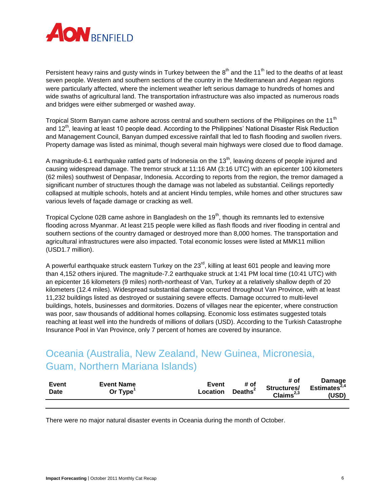

Persistent heavy rains and gusty winds in Turkey between the  $8<sup>th</sup>$  and the 11<sup>th</sup> led to the deaths of at least seven people. Western and southern sections of the country in the Mediterranean and Aegean regions were particularly affected, where the inclement weather left serious damage to hundreds of homes and wide swaths of agricultural land. The transportation infrastructure was also impacted as numerous roads and bridges were either submerged or washed away.

Tropical Storm Banyan came ashore across central and southern sections of the Philippines on the 11<sup>th</sup> and 12<sup>th</sup>, leaving at least 10 people dead. According to the Philippines' National Disaster Risk Reduction and Management Council, Banyan dumped excessive rainfall that led to flash flooding and swollen rivers. Property damage was listed as minimal, though several main highways were closed due to flood damage.

A magnitude-6.1 earthquake rattled parts of Indonesia on the  $13<sup>th</sup>$ , leaving dozens of people injured and causing widespread damage. The tremor struck at 11:16 AM (3:16 UTC) with an epicenter 100 kilometers (62 miles) southwest of Denpasar, Indonesia. According to reports from the region, the tremor damaged a significant number of structures though the damage was not labeled as substantial. Ceilings reportedly collapsed at multiple schools, hotels and at ancient Hindu temples, while homes and other structures saw various levels of façade damage or cracking as well.

Tropical Cyclone 02B came ashore in Bangladesh on the  $19<sup>th</sup>$ , though its remnants led to extensive flooding across Myanmar. At least 215 people were killed as flash floods and river flooding in central and southern sections of the country damaged or destroyed more than 8,000 homes. The transportation and agricultural infrastructures were also impacted. Total economic losses were listed at MMK11 million (USD1.7 million).

A powerful earthquake struck eastern Turkey on the  $23<sup>rd</sup>$ , killing at least 601 people and leaving more than 4,152 others injured. The magnitude-7.2 earthquake struck at 1:41 PM local time (10:41 UTC) with an epicenter 16 kilometers (9 miles) north-northeast of Van, Turkey at a relatively shallow depth of 20 kilometers (12.4 miles). Widespread substantial damage occurred throughout Van Province, with at least 11,232 buildings listed as destroyed or sustaining severe effects. Damage occurred to multi-level buildings, hotels, businesses and dormitories. Dozens of villages near the epicenter, where construction was poor, saw thousands of additional homes collapsing. Economic loss estimates suggested totals reaching at least well into the hundreds of millions of dollars (USD). According to the Turkish Catastrophe Insurance Pool in Van Province, only 7 percent of homes are covered by insurance.

# <span id="page-6-0"></span>Oceania (Australia, New Zealand, New Guinea, Micronesia, Guam, Northern Mariana Islands)

| Event<br><b>Date</b> | <b>Event Name</b><br>Or Type | Event<br><b>Location</b> | # of<br>Deaths <sup>2</sup> | # of<br>Structures/<br>Claims $^{2,3}$ | Damage<br>Estimates $2,4$<br>(USD) |
|----------------------|------------------------------|--------------------------|-----------------------------|----------------------------------------|------------------------------------|
|                      |                              |                          |                             |                                        |                                    |

There were no major natural disaster events in Oceania during the month of October.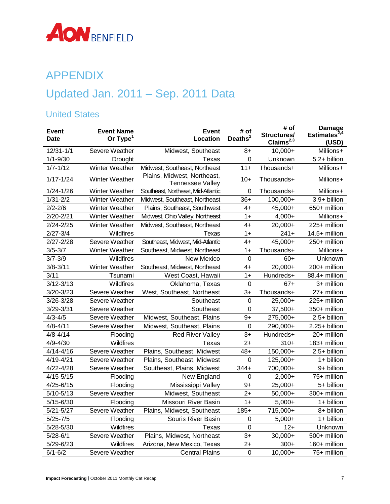

# <span id="page-7-0"></span>APPENDIX

# Updated Jan. 2011 – Sep. 2011 Data

## United States

| <b>Event</b><br><b>Date</b> | <b>Event Name</b><br>Or $Type1$ | <b>Event</b><br>Location                               | # of<br>Deaths $2$ | # of<br>Structures/<br>$C$ laims <sup>2,3</sup> | <b>Damage</b><br>Estimates <sup>2,4</sup><br>(USD) |
|-----------------------------|---------------------------------|--------------------------------------------------------|--------------------|-------------------------------------------------|----------------------------------------------------|
| $12/31 - 1/1$               | Severe Weather                  | Midwest, Southeast                                     | 8+                 | $10,000+$                                       | Millions+                                          |
| $1/1 - 9/30$                | Drought                         | Texas                                                  | 0                  | Unknown                                         | 5.2+ billion                                       |
| $1/7 - 1/12$                | Winter Weather                  | Midwest, Southeast, Northeast                          | $11 +$             | Thousands+                                      | Millions+                                          |
| $1/17 - 1/24$               | Winter Weather                  | Plains, Midwest, Northeast,<br><b>Tennessee Valley</b> | $10+$              | Thousands+                                      | Millions+                                          |
| $1/24 - 1/26$               | Winter Weather                  | Southeast, Northeast, Mid-Atlantic                     | $\mathbf 0$        | Thousands+                                      | Millions+                                          |
| $1/31 - 2/2$                | Winter Weather                  | Midwest, Southeast, Northeast                          | $36+$              | 100,000+                                        | 3.9+ billion                                       |
| $2/2 - 2/6$                 | Winter Weather                  | Plains, Southeast, Southwest                           | $4+$               | 45,000+                                         | 650+ million                                       |
| $2/20 - 2/21$               | Winter Weather                  | Midwest, Ohio Valley, Northeast                        | $1+$               | $4,000+$                                        | Millions+                                          |
| $2/24 - 2/25$               | Winter Weather                  | Midwest, Southeast, Northeast                          | $4+$               | $20,000+$                                       | 225+ million                                       |
| $2/27 - 3/4$                | Wildfires                       | <b>Texas</b>                                           | $1+$               | $241+$                                          | 14.5+ million                                      |
| $2/27 - 2/28$               | Severe Weather                  | Southeast, Midwest, Mid-Atlantic                       | $4+$               | 45,000+                                         | 250+ million                                       |
| $3/5 - 3/7$                 | Winter Weather                  | Southeast, Midwest, Northeast                          | $1+$               | Thousands+                                      | Millions+                                          |
| $3/7 - 3/9$                 | Wildfires                       | <b>New Mexico</b>                                      | $\mathbf 0$        | $60+$                                           | Unknown                                            |
| $3/8 - 3/11$                | Winter Weather                  | Southeast, Midwest, Northeast                          | $4+$               | 20,000+                                         | 200+ million                                       |
| 3/11                        | Tsunami                         | West Coast, Hawaii                                     | $1+$               | Hundreds+                                       | 88.4+ million                                      |
| $3/12 - 3/13$               | Wildfires                       | Oklahoma, Texas                                        | $\mathbf 0$        | $67+$                                           | 3+ million                                         |
| 3/20-3/23                   | Severe Weather                  | West, Southeast, Northeast                             | $3+$               | Thousands+                                      | 27+ million                                        |
| 3/26-3/28                   | Severe Weather                  | Southeast                                              | $\mathbf 0$        | 25,000+                                         | 225+ million                                       |
| 3/29-3/31                   | Severe Weather                  | Southeast                                              | $\mathbf 0$        | 37,500+                                         | 350+ million                                       |
| $4/3 - 4/5$                 | Severe Weather                  | Midwest, Southeast, Plains                             | $9+$               | 275,000+                                        | 2.5+ billion                                       |
| $4/8 - 4/11$                | Severe Weather                  | Midwest, Southeast, Plains                             | $\boldsymbol{0}$   | 290,000+                                        | 2.25+ billion                                      |
| $4/8 - 4/14$                | Flooding                        | <b>Red River Valley</b>                                | $3+$               | Hundreds+                                       | 20+ million                                        |
| $4/9 - 4/30$                | Wildfires                       | Texas                                                  | $2+$               | $310+$                                          | 183+ million                                       |
| $4/14 - 4/16$               | Severe Weather                  | Plains, Southeast, Midwest                             | $48+$              | 150,000+                                        | 2.5+ billion                                       |
| 4/19-4/21                   | Severe Weather                  | Plains, Southeast, Midwest                             | $\mathbf 0$        | 125,000+                                        | 1+ billion                                         |
| $4/22 - 4/28$               | Severe Weather                  | Southeast, Plains, Midwest                             | $344+$             | 700,000+                                        | 9+ billion                                         |
| $4/15 - 5/15$               | Flooding                        | New England                                            | $\mathbf 0$        | $2,000+$                                        | 75+ million                                        |
| $4/25 - 6/15$               | Flooding                        | Mississippi Valley                                     | $9+$               | $25,000+$                                       | 5+ billion                                         |
| $5/10 - 5/13$               | Severe Weather                  | Midwest, Southeast                                     | $2+$               | $50,000+$                                       | 300+ million                                       |
| $5/15 - 6/30$               | Flooding                        | Missouri River Basin                                   | $1+$               | $5,000+$                                        | 1+ billion                                         |
| $5/21 - 5/27$               | Severe Weather                  | Plains, Midwest, Southeast                             | $185+$             | 715,000+                                        | 8+ billion                                         |
| $5/25 - 7/5$                | Flooding                        | Souris River Basin                                     | $\mathbf 0$        | $5,000+$                                        | 1+ billion                                         |
| $5/28 - 5/30$               | Wildfires                       | Texas                                                  | $\mathbf 0$        | $12+$                                           | Unknown                                            |
| $5/28 - 6/1$                | Severe Weather                  | Plains, Midwest, Northeast                             | $3+$               | $30,000+$                                       | 500+ million                                       |
| 5/29-6/23                   | Wildfires                       | Arizona, New Mexico, Texas                             | $2+$               | $300+$                                          | 160+ million                                       |
| $6/1 - 6/2$                 | Severe Weather                  | <b>Central Plains</b>                                  | $\mathbf 0$        | $10,000+$                                       | 75+ million                                        |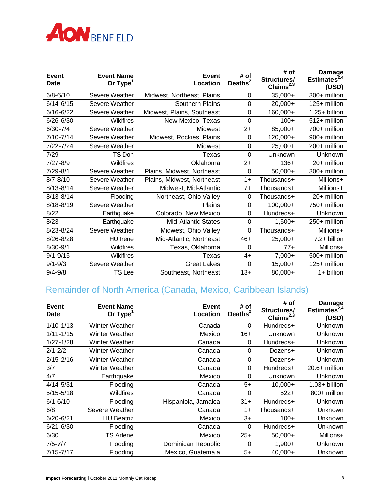

| Event<br><b>Date</b> | <b>Event Name</b><br>Or Type <sup>1</sup> | <b>Event</b><br>Location   | # of<br>Deaths <sup>2</sup> | # of<br>Structures/<br>Claims <sup>2,3</sup> | <b>Damage</b><br>Estimates $^{2,4}$<br>(USD) |
|----------------------|-------------------------------------------|----------------------------|-----------------------------|----------------------------------------------|----------------------------------------------|
| $6/8 - 6/10$         | Severe Weather                            | Midwest, Northeast, Plains | 0                           | $35,000+$                                    | 300+ million                                 |
| $6/14 - 6/15$        | Severe Weather                            | Southern Plains            | $\mathbf 0$                 | $20,000+$                                    | 125+ million                                 |
| $6/16 - 6/22$        | Severe Weather                            | Midwest, Plains, Southeast | 0                           | 160,000+                                     | 1.25+ billion                                |
| $6/26 - 6/30$        | Wildfires                                 | New Mexico, Texas          | 0                           | $100+$                                       | 512+ million                                 |
| $6/30 - 7/4$         | Severe Weather                            | Midwest                    | $2+$                        | 85,000+                                      | 700+ million                                 |
| 7/10-7/14            | Severe Weather                            | Midwest, Rockies, Plains   | 0                           | 120,000+                                     | 900+ million                                 |
| 7/22-7/24            | Severe Weather                            | Midwest                    | $\mathbf 0$                 | $25,000+$                                    | 200+ million                                 |
| 7/29                 | TS Don                                    | Texas                      | $\Omega$                    | Unknown                                      | Unknown                                      |
| $7/27 - 8/9$         | Wildfires                                 | Oklahoma                   | $2+$                        | $136+$                                       | 20+ million                                  |
| 7/29-8/1             | Severe Weather                            | Plains, Midwest, Northeast | 0                           | $50,000+$                                    | 300+ million                                 |
| $8/7 - 8/10$         | Severe Weather                            | Plains, Midwest, Northeast | $1+$                        | Thousands+                                   | Millions+                                    |
| $8/13 - 8/14$        | Severe Weather                            | Midwest, Mid-Atlantic      | $7+$                        | Thousands+                                   | Millions+                                    |
| $8/13 - 8/14$        | Flooding                                  | Northeast, Ohio Valley     | $\mathbf 0$                 | Thousands+                                   | 20+ million                                  |
| 8/18-8/19            | Severe Weather                            | Plains                     | $\mathbf 0$                 | 100,000+                                     | 750+ million                                 |
| 8/22                 | Earthquake                                | Colorado, New Mexico       | $\mathbf 0$                 | Hundreds+                                    | Unknown                                      |
| 8/23                 | Earthquake                                | <b>Mid-Atlantic States</b> | $\overline{0}$              | $1,500+$                                     | 250+ million                                 |
| 8/23-8/24            | Severe Weather                            | Midwest, Ohio Valley       | $\mathbf 0$                 | Thousands+                                   | Millions+                                    |
| 8/26-8/28            | <b>HU</b> Irene                           | Mid-Atlantic, Northeast    | $46+$                       | $25,000+$                                    | 7.2+ billion                                 |
| 8/30-9/1             | Wildfires                                 | Texas, Oklahoma            | 0                           | $77+$                                        | Millions+                                    |
| $9/1 - 9/15$         | Wildfires                                 | Texas                      | $4+$                        | $7,000+$                                     | 500+ million                                 |
| $9/1 - 9/3$          | Severe Weather                            | <b>Great Lakes</b>         | 0                           | $15,000+$                                    | 125+ million                                 |
| $9/4 - 9/8$          | <b>TS</b> Lee                             | Southeast, Northeast       | $13+$                       | 80,000+                                      | 1+ billion                                   |

# Remainder of North America (Canada, Mexico, Caribbean Islands)

| Event<br>Date | <b>Event Name</b><br>Or $Type1$ | <b>Event</b><br>Location | # of<br>Deaths <sup>2</sup> | # of<br>Structures/<br>Claims <sup>2,3</sup> | Damage<br>Estimates $^{2,4}$<br>(USD) |
|---------------|---------------------------------|--------------------------|-----------------------------|----------------------------------------------|---------------------------------------|
| $1/10 - 1/13$ | Winter Weather                  | Canada                   | 0                           | Hundreds+                                    | <b>Unknown</b>                        |
| $1/11 - 1/15$ | Winter Weather                  | Mexico                   | $16+$                       | Unknown                                      | <b>Unknown</b>                        |
| $1/27 - 1/28$ | Winter Weather                  | Canada                   | 0                           | Hundreds+                                    | Unknown                               |
| $2/1 - 2/2$   | Winter Weather                  | Canada                   | 0                           | Dozens+                                      | Unknown                               |
| $2/15 - 2/16$ | Winter Weather                  | Canada                   | 0                           | Dozens+                                      | Unknown                               |
| 3/7           | Winter Weather                  | Canada                   | 0                           | Hundreds+                                    | $20.6+$ million                       |
| 4/7           | Earthquake                      | Mexico                   | $\Omega$                    | Unknown                                      | <b>Unknown</b>                        |
| $4/14 - 5/31$ | Flooding                        | Canada                   | $5+$                        | $10,000+$                                    | $1.03 + billion$                      |
| $5/15 - 5/18$ | Wildfires                       | Canada                   | $\mathbf 0$                 | $522+$                                       | 800+ million                          |
| $6/1 - 6/10$  | Flooding                        | Hispaniola, Jamaica      | $31+$                       | Hundreds+                                    | <b>Unknown</b>                        |
| 6/8           | Severe Weather                  | Canada                   | $1+$                        | Thousands+                                   | Unknown                               |
| $6/20 - 6/21$ | <b>HU Beatriz</b>               | Mexico                   | $3+$                        | $100+$                                       | <b>Unknown</b>                        |
| $6/21 - 6/30$ | Flooding                        | Canada                   | 0                           | Hundreds+                                    | Unknown                               |
| 6/30          | TS Arlene                       | Mexico                   | $25+$                       | $50,000+$                                    | Millions+                             |
| $7/5 - 7/7$   | Flooding                        | Dominican Republic       | $\Omega$                    | $1,900+$                                     | <b>Unknown</b>                        |
| 7/15-7/17     | Flooding                        | Mexico, Guatemala        | 5+                          | $40,000+$                                    | Unknown                               |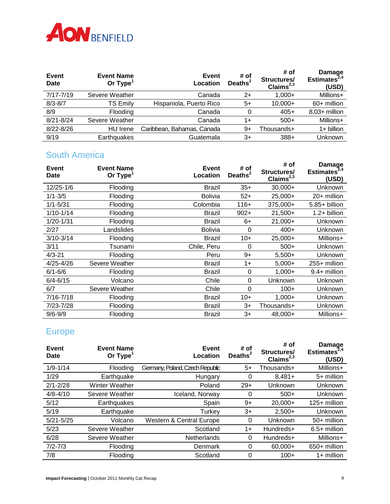

| Event<br><b>Date</b> | <b>Event Name</b><br>Or $Type1$ | Event<br>Location          | # of<br>Deaths <sup>2</sup> | # of<br>Structures/<br>Claims $^{2,3}$ | Damage<br>Estimates <sup>2,4</sup><br>(USD) |
|----------------------|---------------------------------|----------------------------|-----------------------------|----------------------------------------|---------------------------------------------|
| 7/17-7/19            | Severe Weather                  | Canada                     | $2+$                        | $1.000+$                               | Millions+                                   |
| $8/3 - 8/7$          | <b>TS Emily</b>                 | Hispaniola, Puerto Rico    | 5+                          | $10,000+$                              | 60+ million                                 |
| 8/9                  | Flooding                        | Canada                     | 0                           | $405+$                                 | $8.03 +$ million                            |
| $8/21 - 8/24$        | Severe Weather                  | Canada                     | 1+                          | $500+$                                 | Millions+                                   |
| $8/22 - 8/26$        | HU Irene                        | Caribbean, Bahamas, Canada | 9+                          | Thousands+                             | $1+$ billion                                |
| 9/19                 | Earthquakes                     | Guatemala                  | 3+                          | $388+$                                 | Unknown                                     |

#### South America

| Event<br><b>Date</b> | <b>Event Name</b><br>Or Type <sup>1</sup> | <b>Event</b><br>Location | # of<br>Deaths <sup>2</sup> | # of<br>Structures/<br>Claims $^{2,3}$ | Damage<br>Estimates $^{2,4}$<br>(USD) |
|----------------------|-------------------------------------------|--------------------------|-----------------------------|----------------------------------------|---------------------------------------|
| 12/25-1/6            | Flooding                                  | <b>Brazil</b>            | $35+$                       | $30.000+$                              | Unknown                               |
| $1/1 - 3/5$          | Flooding                                  | <b>Bolivia</b>           | $52+$                       | 25,000+                                | 20+ million                           |
| $1/1 - 5/31$         | Flooding                                  | Colombia                 | $116+$                      | 375.000+                               | 5.85+ billion                         |
| 1/10-1/14            | Flooding                                  | <b>Brazil</b>            | $902+$                      | $21,500+$                              | $1.2+$ billion                        |
| 1/20-1/31            | Flooding                                  | <b>Brazil</b>            | $6+$                        | $21,000+$                              | Unknown                               |
| 2/27                 | Landslides                                | <b>Bolivia</b>           | 0                           | $400+$                                 | Unknown                               |
| $3/10 - 3/14$        | Flooding                                  | <b>Brazil</b>            | $10+$                       | $25,000+$                              | Millions+                             |
| 3/11                 | Tsunami                                   | Chile, Peru              | 0                           | $500+$                                 | Unknown                               |
| $4/3 - 21$           | Flooding                                  | Peru                     | $9+$                        | $5,500+$                               | Unknown                               |
| 4/25-4/26            | Severe Weather                            | <b>Brazil</b>            | $1+$                        | $5,000+$                               | 255+ million                          |
| $6/1 - 6/6$          | <b>Flooding</b>                           | <b>Brazil</b>            | 0                           | $1,000+$                               | $9.4+$ million                        |
| $6/4 - 6/15$         | Volcano                                   | Chile                    | $\Omega$                    | Unknown                                | Unknown                               |
| 6/7                  | Severe Weather                            | Chile                    | $\Omega$                    | $100+$                                 | Unknown                               |
| 7/16-7/18            | Flooding                                  | <b>Brazil</b>            | $10+$                       | $1,000+$                               | Unknown                               |
| 7/23-7/28            | Flooding                                  | Brazil                   | $3+$                        | Thousands+                             | Unknown                               |
| $9/6 - 9/9$          | Flooding                                  | Brazil                   | 3+                          | $48,000+$                              | Millions+                             |

# Europe

| Event<br>Date | <b>Event Name</b><br>Or $Type1$ | Event<br>Location               | # of<br>Deaths <sup>2</sup> | # of<br>Structures/<br>Claims $^{2,3}$ | Damage<br>Estimates $^{2,4}$<br>(USD) |
|---------------|---------------------------------|---------------------------------|-----------------------------|----------------------------------------|---------------------------------------|
| $1/9 - 1/14$  | Flooding                        | Germany, Poland, Czech Republic | $5+$                        | Thousands+                             | Millions+                             |
| 1/29          | Earthquake                      | Hungary                         | 0                           | $8,481+$                               | $5+$ million                          |
| $2/1 - 2/28$  | <b>Winter Weather</b>           | Poland                          | $29+$                       | Unknown                                | Unknown                               |
| $4/8 - 4/10$  | Severe Weather                  | Iceland, Norway                 | 0                           | $500+$                                 | Unknown                               |
| 5/12          | Earthquakes                     | Spain                           | 9+                          | $20,000+$                              | 125+ million                          |
| 5/19          | Earthquake                      | Turkey                          | $3+$                        | $2,500+$                               | Unknown                               |
| $5/21 - 5/25$ | Volcano                         | Western & Central Europe        | $\Omega$                    | Unknown                                | 50+ million                           |
| 5/23          | Severe Weather                  | Scotland                        | $1+$                        | Hundreds+                              | $6.5+$ million                        |
| 6/28          | Severe Weather                  | Netherlands                     | 0                           | Hundreds+                              | Millions+                             |
| $7/2 - 7/3$   | Flooding                        | Denmark                         | 0                           | $60,000+$                              | 650+ million                          |
| 7/8           | Flooding                        | Scotland                        | 0                           | $100+$                                 | $1+$ million                          |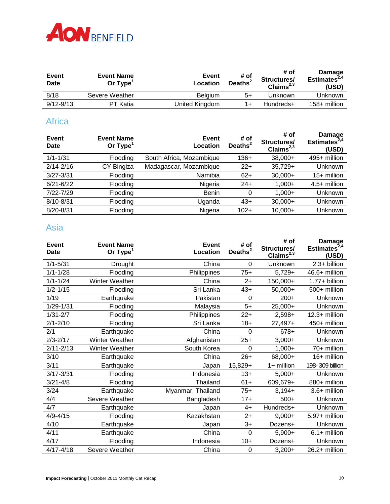

| Event<br>Date | <b>Event Name</b><br>Or Type <sup>1</sup> | Event<br>Location | # of<br>Deaths <sup>2</sup> | # of<br>Structures/<br>Claims $^{2,3}$ | <b>Damage</b><br>Estimates $^{2,4}$<br>(USD) |
|---------------|-------------------------------------------|-------------------|-----------------------------|----------------------------------------|----------------------------------------------|
| 8/18          | Severe Weather                            | <b>Belgium</b>    | 5+                          | Unknown                                | Unknown                                      |
| $9/12 - 9/13$ | PT Katia                                  | United Kingdom    | 1+                          | Hundreds+                              | $158 +$ million                              |

#### **Africa**

| Event<br><b>Date</b> | <b>Event Name</b><br>Or $Type1$ | Event<br>Location        | # of<br>Deaths $2$ | # of<br>Structures/<br>Claims $^{2,3}$ | Damage<br>Estimates <sup>2,4</sup><br>(USD) |
|----------------------|---------------------------------|--------------------------|--------------------|----------------------------------------|---------------------------------------------|
| $1/1 - 1/31$         | Flooding                        | South Africa, Mozambique | $136+$             | $38,000+$                              | 495+ million                                |
| $2/14 - 2/16$        | CY Bingiza                      | Madagascar, Mozambique   | $22+$              | $35,729+$                              | Unknown                                     |
| $3/27 - 3/31$        | Flooding                        | Namibia                  | $62+$              | $30,000+$                              | $15+$ million                               |
| $6/21 - 6/22$        | <b>Flooding</b>                 | Nigeria                  | $24+$              | $1,000+$                               | $4.5+$ million                              |
| 7/22-7/29            | Flooding                        | Benin                    | 0                  | $1.000 +$                              | Unknown                                     |
| 8/10-8/31            | Flooding                        | Uganda                   | $43+$              | $30,000+$                              | Unknown                                     |
| 8/20-8/31            | Flooding                        | Nigeria                  | $102+$             | $10,000+$                              | Unknown                                     |
|                      |                                 |                          |                    |                                        |                                             |

## Asia

| <b>Event</b><br>Date | <b>Event Name</b><br>Or $Type1$ | <b>Event</b><br>Location | # of<br>Deaths <sup>2</sup> | # of<br>Structures/<br>Claims $^{2,3}$ | <b>Damage</b><br>Estimates $^{2,4}$<br>(USD) |
|----------------------|---------------------------------|--------------------------|-----------------------------|----------------------------------------|----------------------------------------------|
| $1/1 - 5/31$         | Drought                         | China                    | $\mathbf 0$                 | Unknown                                | 2.3+ billion                                 |
| $1/1 - 1/28$         | Flooding                        | Philippines              | $75+$                       | $5,729+$                               | 46.6+ million                                |
| $1/1 - 1/24$         | <b>Winter Weather</b>           | China                    | $2+$                        | 150,000+                               | 1.77+ billion                                |
| $1/2 - 1/15$         | Flooding                        | Sri Lanka                | $43+$                       | $50,000+$                              | 500+ million                                 |
| 1/19                 | Earthquake                      | Pakistan                 | 0                           | $200+$                                 | Unknown                                      |
| 1/29-1/31            | Flooding                        | Malaysia                 | $5+$                        | 25,000+                                | Unknown                                      |
| $1/31 - 2/7$         | Flooding                        | Philippines              | $22+$                       | $2,598+$                               | 12.3+ million                                |
| $2/1 - 2/10$         | Flooding                        | Sri Lanka                | $18+$                       | $27,497+$                              | 450+ million                                 |
| 2/1                  | Earthquake                      | China                    | $\overline{0}$              | 678+                                   | Unknown                                      |
| $2/3 - 2/17$         | <b>Winter Weather</b>           | Afghanistan              | $25+$                       | $3,000+$                               | Unknown                                      |
| $2/11 - 2/13$        | <b>Winter Weather</b>           | South Korea              | $\Omega$                    | $1,000+$                               | 70+ million                                  |
| 3/10                 | Earthquake                      | China                    | $26+$                       | 68,000+                                | 16+ million                                  |
| 3/11                 | Earthquake                      | Japan                    | 15,829+                     | $1+$ million                           | 198-309 billion                              |
| $3/17 - 3/31$        | Flooding                        | Indonesia                | $13+$                       | $5,000+$                               | Unknown                                      |
| $3/21 - 4/8$         | Flooding                        | Thailand                 | $61+$                       | 609,679+                               | 880+ million                                 |
| 3/24                 | Earthquake                      | Myanmar, Thailand        | $75+$                       | $3,194+$                               | 3.6+ million                                 |
| 4/4                  | Severe Weather                  | Bangladesh               | $17 +$                      | $500+$                                 | Unknown                                      |
| 4/7                  | Earthquake                      | Japan                    | $4+$                        | Hundreds+                              | Unknown                                      |
| $4/9 - 4/15$         | Flooding                        | Kazakhstan               | $2+$                        | $9,000+$                               | 5.97+ million                                |
| 4/10                 | Earthquake                      | Japan                    | $3+$                        | Dozens+                                | Unknown                                      |
| 4/11                 | Earthquake                      | China                    | $\Omega$                    | $5,900+$                               | $6.1 +$ million                              |
| 4/17                 | Flooding                        | Indonesia                | $10+$                       | Dozens+                                | Unknown                                      |
| $4/17 - 4/18$        | Severe Weather                  | China                    | 0                           | $3,200+$                               | 26.2+ million                                |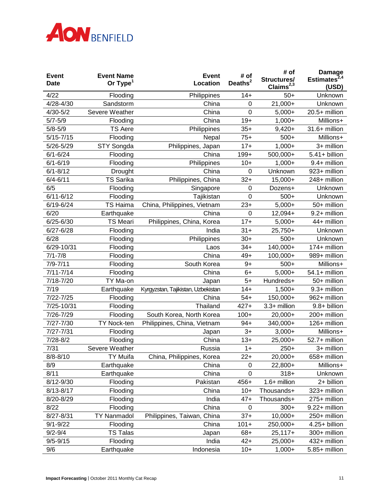

| <b>Event</b><br><b>Date</b> | <b>Event Name</b><br>Or $Type1$ | <b>Event</b><br>Location           | # of<br>Deaths <sup>2</sup> | # of<br>Structures/<br>Claims <sup>2,3</sup> | <b>Damage</b><br>Estimates <sup>2,4</sup><br>(USD) |
|-----------------------------|---------------------------------|------------------------------------|-----------------------------|----------------------------------------------|----------------------------------------------------|
| 4/22                        | Flooding                        | Philippines                        | $14+$                       | $50+$                                        | Unknown                                            |
| 4/28-4/30                   | Sandstorm                       | China                              | 0                           | 21,000+                                      | Unknown                                            |
| $4/30 - 5/2$                | Severe Weather                  | China                              | $\mathbf 0$                 | $5,000+$                                     | 20.5+ million                                      |
| $5/7 - 5/9$                 | Flooding                        | China                              | $19+$                       | $1,000+$                                     | Millions+                                          |
| $5/8 - 5/9$                 | <b>TS Aere</b>                  | Philippines                        | $35+$                       | $9,420+$                                     | 31.6+ million                                      |
| $5/15 - 7/15$               | Flooding                        | Nepal                              | $75+$                       | $500+$                                       | Millions+                                          |
| 5/26-5/29                   | STY Songda                      | Philippines, Japan                 | $17+$                       | $1,000+$                                     | 3+ million                                         |
| $6/1 - 6/24$                | Flooding                        | China                              | $199+$                      | 500,000+                                     | $5.41 + billion$                                   |
| $6/1 - 6/19$                | Flooding                        | Philippines                        | $10+$                       | $1,000+$                                     | 9.4+ million                                       |
| $6/1 - 8/12$                | Drought                         | China                              | 0                           | Unknown                                      | 923+ million                                       |
| $6/4 - 6/11$                | <b>TS Sarika</b>                | Philippines, China                 | $32+$                       | 15,000+                                      | 248+ million                                       |
| 6/5                         | Flooding                        | Singapore                          | $\mathbf 0$                 | Dozens+                                      | Unknown                                            |
| $6/11 - 6/12$               | Flooding                        | Tajikistan                         | $\mathbf 0$                 | $500+$                                       | Unknown                                            |
| 6/19-6/24                   | <b>TS Haima</b>                 | China, Philippines, Vietnam        | $23+$                       | $5,000+$                                     | 50+ million                                        |
| 6/20                        | Earthquake                      | China                              | $\mathbf 0$                 | 12,094+                                      | 9.2+ million                                       |
| $6/25 - 6/30$               | <b>TS Meari</b>                 | Philippines, China, Korea          | $17+$                       | $5,000+$                                     | 44+ million                                        |
| $6/27 - 6/28$               | Flooding                        | India                              | $31 +$                      | $25,750+$                                    | Unknown                                            |
| 6/28                        | Flooding                        | Philippines                        | $30+$                       | $500+$                                       | Unknown                                            |
| 6/29-10/31                  | Flooding                        | Laos                               | $34+$                       | 140,000+                                     | 174+ million                                       |
| $7/1 - 7/8$                 | Flooding                        | China                              | $49+$                       | $100,000+$                                   | 989+ million                                       |
| $7/9 - 7/11$                | Flooding                        | South Korea                        | $9+$                        | $500+$                                       | Millions+                                          |
| $7/11 - 7/14$               | Flooding                        | China                              | $6+$                        | $5,000+$                                     | $54.1 +$ million                                   |
| 7/18-7/20                   | TY Ma-on                        | Japan                              | $5+$                        | Hundreds+                                    | 50+ million                                        |
| 7/19                        | Earthquake                      | Kyrgyzstan, Tajikistan, Uzbekistan | $14+$                       | $1,500+$                                     | 9.3+ million                                       |
| 7/22-7/25                   | Flooding                        | China                              | $54+$                       | 150,000+                                     | 962+ million                                       |
| 7/25-10/31                  | Flooding                        | Thailand                           | $427+$                      | 3.3+ million                                 | 9.8+ billion                                       |
| 7/26-7/29                   | Flooding                        | South Korea, North Korea           | $100+$                      | 20,000+                                      | 200+ million                                       |
| $7/27 - 7/30$               | <b>TY Nock-ten</b>              | Philippines, China, Vietnam        | $94+$                       | 340,000+                                     | 126+ million                                       |
| 7/27-7/31                   | Flooding                        | Japan                              | $3+$                        | $3,000+$                                     | Millions+                                          |
| $7/28 - 8/2$                | Flooding                        | China                              | $13+$                       | 25,000+                                      | 52.7+ million                                      |
| 7/31                        | Severe Weather                  | Russia                             | $1+$                        | $250+$                                       | 3+ million                                         |
| $8/8 - 8/10$                | TY Muifa                        | China, Philippines, Korea          | $22+$                       | 20,000+                                      | 658+ million                                       |
| 8/9                         | Earthquake                      | China                              | 0                           | 22,800+                                      | Millions+                                          |
| 8/11                        | Earthquake                      | China                              | 0                           | $318+$                                       | Unknown                                            |
| 8/12-9/30                   | Flooding                        | Pakistan                           | $456+$                      | 1.6+ million                                 | 2+ billion                                         |
| 8/13-8/17                   | Flooding                        | China                              | $10+$                       | Thousands+                                   | 323+ million                                       |
| 8/20-8/29                   | Flooding                        | India                              | $47+$                       | Thousands+                                   | 275+ million                                       |
| 8/22                        | Flooding                        | China                              | $\mathbf 0$                 | $300+$                                       | 9.22+ million                                      |
| 8/27-8/31                   | <b>TY Nanmadol</b>              | Philippines, Taiwan, China         | $37+$                       | $10,000+$                                    | 250+ million                                       |
| $9/1 - 9/22$                | Flooding                        | China                              | $101 +$                     | 250,000+                                     | 4.25+ billion                                      |
| $9/2 - 9/4$                 | <b>TS Talas</b>                 | Japan                              | $68+$                       | $25,117+$                                    | 300+ million                                       |
| $9/5 - 9/15$                | Flooding                        | India                              | $42+$                       | 25,000+                                      | 432+ million                                       |
| 9/6                         | Earthquake                      | Indonesia                          | $10+$                       | $1,000+$                                     | 5.85+ million                                      |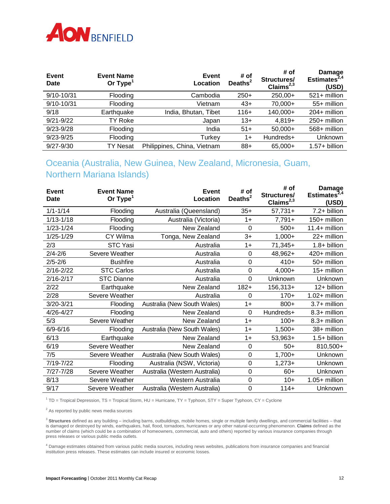

| Event<br><b>Date</b> | <b>Event Name</b><br>Or $Type1$ | Event<br>Location           | # of<br>Deaths <sup>2</sup> | # of<br>Structures/<br>Claims $^{2,3}$ | Damage<br>Estimates <sup>2,4</sup><br>(USD) |
|----------------------|---------------------------------|-----------------------------|-----------------------------|----------------------------------------|---------------------------------------------|
| 9/10-10/31           | Flooding                        | Cambodia                    | $250+$                      | $250,00+$                              | $521 +$ million                             |
| 9/10-10/31           | Flooding                        | Vietnam                     | $43+$                       | 70,000+                                | 55+ million                                 |
| 9/18                 | Earthquake                      | India, Bhutan, Tibet        | 116+                        | 140,000+                               | $204+$ million                              |
| $9/21 - 9/22$        | TY Roke                         | Japan                       | $13+$                       | $4,819+$                               | $250+$ million                              |
| $9/23 - 9/28$        | Flooding                        | India                       | $51+$                       | $50,000+$                              | 568+ million                                |
| $9/23 - 9/25$        | Flooding                        | Turkey                      | 1+                          | Hundreds+                              | <b>Unknown</b>                              |
| $9/27 - 9/30$        | TY Nesat                        | Philippines, China, Vietnam | $88+$                       | 65,000+                                | $1.57 + billion$                            |

## Oceania (Australia, New Guinea, New Zealand, Micronesia, Guam, Northern Mariana Islands)

| Event<br>Date | <b>Event Name</b><br>Or $Type1$ | Event<br>Location             | # of<br>Deaths <sup>2</sup> | # of<br>Structures/<br>Claims <sup>2,3</sup> | Damage<br>Estimates $^{2,4}$<br>(USD) |
|---------------|---------------------------------|-------------------------------|-----------------------------|----------------------------------------------|---------------------------------------|
| $1/1 - 1/14$  | Flooding                        | Australia (Queensland)        | $35+$                       | $57,731+$                                    | 7.2+ billion                          |
| 1/13-1/18     | Flooding                        | Australia (Victoria)          | $1+$                        | $7,791+$                                     | 150+ million                          |
| 1/23-1/24     | Flooding                        | New Zealand                   | $\Omega$                    | $500+$                                       | $11.4+$ million                       |
| 1/25-1/29     | CY Wilma                        | Tonga, New Zealand            | $3+$                        | $1,000+$                                     | 22+ million                           |
| 2/3           | <b>STC Yasi</b>                 | Australia                     | $1+$                        | $71,345+$                                    | 1.8+ billion                          |
| $2/4 - 2/6$   | Severe Weather                  | Australia                     | 0                           | 48,962+                                      | 420+ million                          |
| $2/5 - 2/6$   | <b>Bushfire</b>                 | Australia                     | $\mathbf 0$                 | $410+$                                       | 50+ million                           |
| $2/16 - 2/22$ | <b>STC Carlos</b>               | Australia                     | $\mathbf 0$                 | $4,000+$                                     | 15+ million                           |
| $2/16 - 2/17$ | <b>STC Dianne</b>               | Australia                     | $\mathbf 0$                 | Unknown                                      | Unknown                               |
| 2/22          | Earthquake                      | New Zealand                   | $182+$                      | $156,313+$                                   | 12+ billion                           |
| 2/28          | Severe Weather                  | Australia                     | 0                           | $170+$                                       | $1.02 +$ million                      |
| 3/20-3/21     | Flooding                        | Australia (New South Wales)   | $1+$                        | $800+$                                       | $3.7+$ million                        |
| 4/26-4/27     | Flooding                        | New Zealand                   | $\Omega$                    | Hundreds+                                    | 8.3+ million                          |
| 5/3           | Severe Weather                  | New Zealand                   | $1+$                        | $100+$                                       | 8.3+ million                          |
| $6/9 - 6/16$  | Flooding                        | Australia (New South Wales)   | $1+$                        | $1,500+$                                     | 38+ million                           |
| 6/13          | Earthquake                      | New Zealand                   | $1+$                        | 53,963+                                      | $1.5+$ billion                        |
| 6/19          | Severe Weather                  | New Zealand                   | $\mathbf 0$                 | $50+$                                        | 810,500+                              |
| 7/5           | Severe Weather                  | Australia (New South Wales)   | $\mathbf 0$                 | $1,700+$                                     | Unknown                               |
| 7/19-7/22     | Flooding                        | Australia (NSW, Victoria)     | $\mathbf 0$                 | $1,273+$                                     | Unknown                               |
| 7/27-7/28     | Severe Weather                  | Australia (Western Australia) | $\mathbf 0$                 | $60+$                                        | Unknown                               |
| 8/13          | Severe Weather                  | Western Australia             | $\mathbf 0$                 | $10+$                                        | $1.05+$ million                       |
| 9/17          | Severe Weather                  | Australia (Western Australia) | $\mathbf 0$                 | $114+$                                       | Unknown                               |

<sup>1</sup> TD = Tropical Depression, TS = Tropical Storm, HU = Hurricane, TY = Typhoon, STY = Super Typhoon, CY = Cyclone

 $2$  As reported by public news media sources

<sup>3</sup> **Structures** defined as any building – including barns, outbuildings, mobile homes, single or multiple family dwellings, and commercial facilities – that is damaged or destroyed by winds, earthquakes, hail, flood, tornadoes, hurricanes or any other natural-occurring phenomenon. **Claims** defined as the number of claims (which could be a combination of homeowners, commercial, auto and others) reported by various insurance companies through press releases or various public media outlets.

<sup>4</sup> Damage estimates obtained from various public media sources, including news websites, publications from insurance companies and financial institution press releases. These estimates can include insured or economic losses.